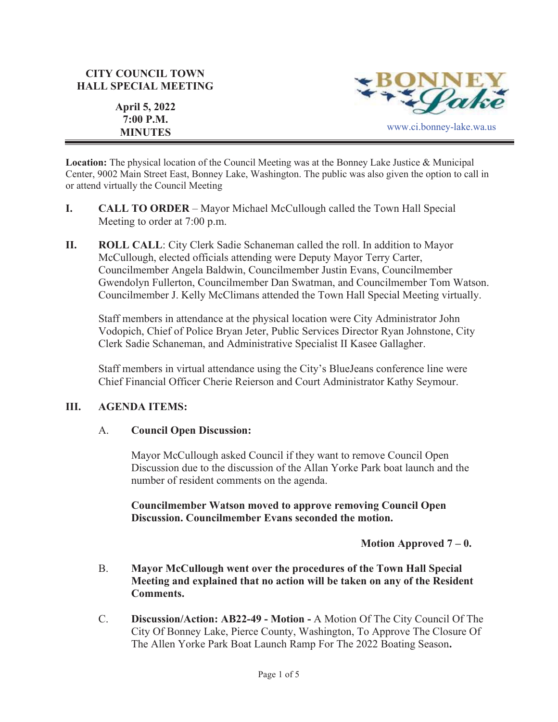## **CITY COUNCIL TOWN HALL SPECIAL MEETING**



**April 5, 2022 7:00 P.M.** 

**Location:** The physical location of the Council Meeting was at the Bonney Lake Justice & Municipal Center, 9002 Main Street East, Bonney Lake, Washington. The public was also given the option to call in or attend virtually the Council Meeting

- **I. CALL TO ORDER**  Mayor Michael McCullough called the Town Hall Special Meeting to order at 7:00 p.m.
- **II. ROLL CALL**: City Clerk Sadie Schaneman called the roll. In addition to Mayor McCullough, elected officials attending were Deputy Mayor Terry Carter, Councilmember Angela Baldwin, Councilmember Justin Evans, Councilmember Gwendolyn Fullerton, Councilmember Dan Swatman, and Councilmember Tom Watson. Councilmember J. Kelly McClimans attended the Town Hall Special Meeting virtually.

Staff members in attendance at the physical location were City Administrator John Vodopich, Chief of Police Bryan Jeter, Public Services Director Ryan Johnstone, City Clerk Sadie Schaneman, and Administrative Specialist II Kasee Gallagher.

Staff members in virtual attendance using the City's BlueJeans conference line were Chief Financial Officer Cherie Reierson and Court Administrator Kathy Seymour.

### **III. AGENDA ITEMS:**

### A. **Council Open Discussion:**

Mayor McCullough asked Council if they want to remove Council Open Discussion due to the discussion of the Allan Yorke Park boat launch and the number of resident comments on the agenda.

**Councilmember Watson moved to approve removing Council Open Discussion. Councilmember Evans seconded the motion.**

**Motion Approved 7 – 0.**

- B. **Mayor McCullough went over the procedures of the Town Hall Special Meeting and explained that no action will be taken on any of the Resident Comments.**
- C. **Discussion/Action: AB22-49 Motion -** A Motion Of The City Council Of The City Of Bonney Lake, Pierce County, Washington, To Approve The Closure Of The Allen Yorke Park Boat Launch Ramp For The 2022 Boating Season**.**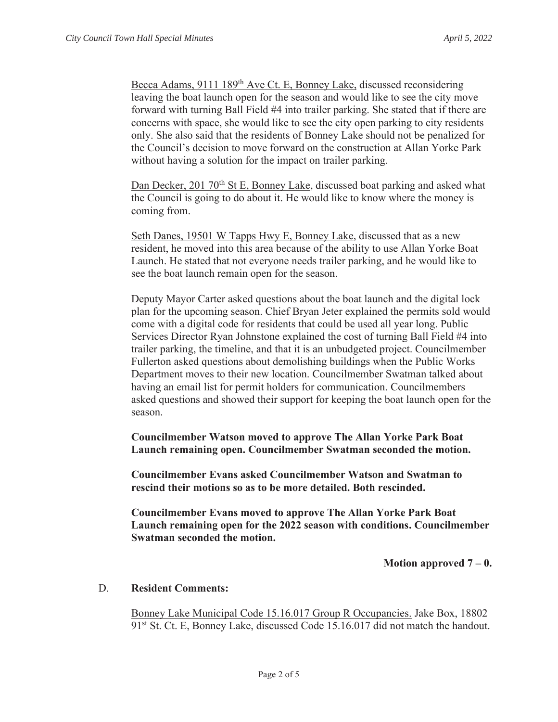Becca Adams, 9111 189<sup>th</sup> Ave Ct. E, Bonney Lake, discussed reconsidering leaving the boat launch open for the season and would like to see the city move forward with turning Ball Field #4 into trailer parking. She stated that if there are concerns with space, she would like to see the city open parking to city residents only. She also said that the residents of Bonney Lake should not be penalized for the Council's decision to move forward on the construction at Allan Yorke Park without having a solution for the impact on trailer parking.

Dan Decker, 201 70<sup>th</sup> St E, Bonney Lake, discussed boat parking and asked what the Council is going to do about it. He would like to know where the money is coming from.

Seth Danes, 19501 W Tapps Hwy E, Bonney Lake, discussed that as a new resident, he moved into this area because of the ability to use Allan Yorke Boat Launch. He stated that not everyone needs trailer parking, and he would like to see the boat launch remain open for the season.

Deputy Mayor Carter asked questions about the boat launch and the digital lock plan for the upcoming season. Chief Bryan Jeter explained the permits sold would come with a digital code for residents that could be used all year long. Public Services Director Ryan Johnstone explained the cost of turning Ball Field #4 into trailer parking, the timeline, and that it is an unbudgeted project. Councilmember Fullerton asked questions about demolishing buildings when the Public Works Department moves to their new location. Councilmember Swatman talked about having an email list for permit holders for communication. Councilmembers asked questions and showed their support for keeping the boat launch open for the season.

**Councilmember Watson moved to approve The Allan Yorke Park Boat Launch remaining open. Councilmember Swatman seconded the motion.** 

**Councilmember Evans asked Councilmember Watson and Swatman to rescind their motions so as to be more detailed. Both rescinded.**

**Councilmember Evans moved to approve The Allan Yorke Park Boat Launch remaining open for the 2022 season with conditions. Councilmember Swatman seconded the motion.**

**Motion approved**  $7 - 0$ **.** 

### D. **Resident Comments:**

Bonney Lake Municipal Code 15.16.017 Group R Occupancies. Jake Box, 18802 91<sup>st</sup> St. Ct. E, Bonney Lake, discussed Code 15.16.017 did not match the handout.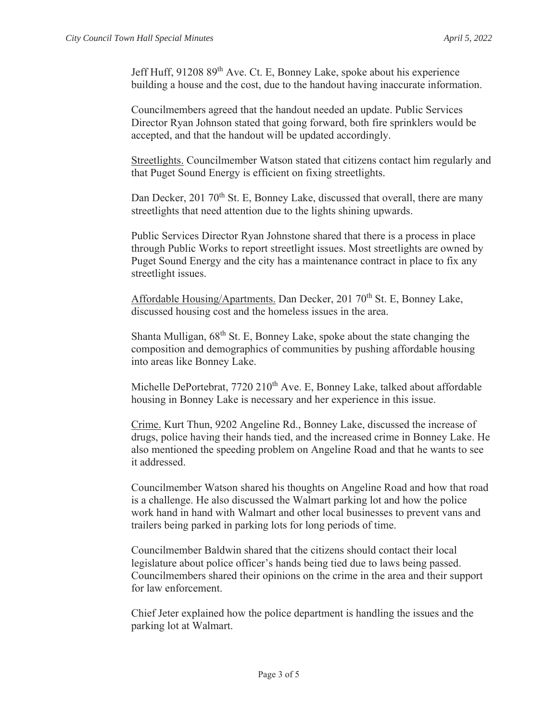Jeff Huff, 91208 89th Ave. Ct. E, Bonney Lake, spoke about his experience building a house and the cost, due to the handout having inaccurate information.

Councilmembers agreed that the handout needed an update. Public Services Director Ryan Johnson stated that going forward, both fire sprinklers would be accepted, and that the handout will be updated accordingly.

Streetlights. Councilmember Watson stated that citizens contact him regularly and that Puget Sound Energy is efficient on fixing streetlights.

Dan Decker, 201 70<sup>th</sup> St. E, Bonney Lake, discussed that overall, there are many streetlights that need attention due to the lights shining upwards.

Public Services Director Ryan Johnstone shared that there is a process in place through Public Works to report streetlight issues. Most streetlights are owned by Puget Sound Energy and the city has a maintenance contract in place to fix any streetlight issues.

Affordable Housing/Apartments. Dan Decker, 201 70<sup>th</sup> St. E, Bonney Lake, discussed housing cost and the homeless issues in the area.

Shanta Mulligan, 68th St. E, Bonney Lake, spoke about the state changing the composition and demographics of communities by pushing affordable housing into areas like Bonney Lake.

Michelle DePortebrat, 7720 210<sup>th</sup> Ave. E, Bonney Lake, talked about affordable housing in Bonney Lake is necessary and her experience in this issue.

Crime. Kurt Thun, 9202 Angeline Rd., Bonney Lake, discussed the increase of drugs, police having their hands tied, and the increased crime in Bonney Lake. He also mentioned the speeding problem on Angeline Road and that he wants to see it addressed.

Councilmember Watson shared his thoughts on Angeline Road and how that road is a challenge. He also discussed the Walmart parking lot and how the police work hand in hand with Walmart and other local businesses to prevent vans and trailers being parked in parking lots for long periods of time.

Councilmember Baldwin shared that the citizens should contact their local legislature about police officer's hands being tied due to laws being passed. Councilmembers shared their opinions on the crime in the area and their support for law enforcement.

Chief Jeter explained how the police department is handling the issues and the parking lot at Walmart.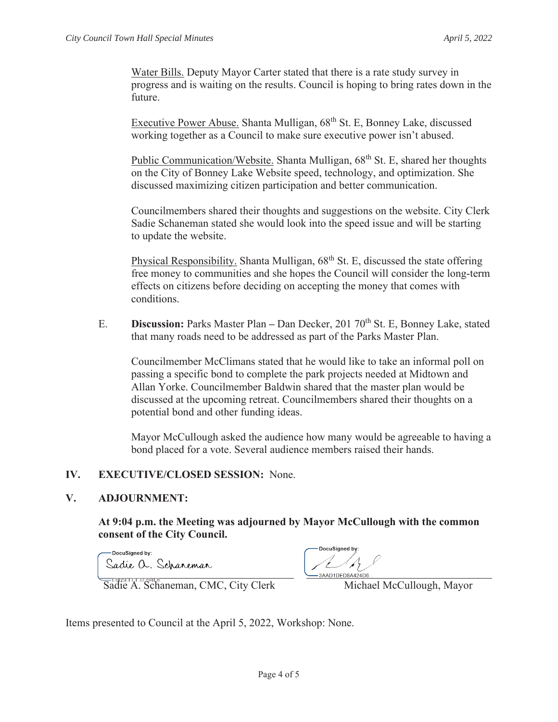Water Bills. Deputy Mayor Carter stated that there is a rate study survey in progress and is waiting on the results. Council is hoping to bring rates down in the future.

Executive Power Abuse. Shanta Mulligan, 68<sup>th</sup> St. E, Bonney Lake, discussed working together as a Council to make sure executive power isn't abused.

Public Communication/Website. Shanta Mulligan, 68<sup>th</sup> St. E, shared her thoughts on the City of Bonney Lake Website speed, technology, and optimization. She discussed maximizing citizen participation and better communication.

Councilmembers shared their thoughts and suggestions on the website. City Clerk Sadie Schaneman stated she would look into the speed issue and will be starting to update the website.

Physical Responsibility. Shanta Mulligan,  $68<sup>th</sup>$  St. E, discussed the state offering free money to communities and she hopes the Council will consider the long-term effects on citizens before deciding on accepting the money that comes with conditions.

E. **Discussion:** Parks Master Plan **–** Dan Decker, 201 70th St. E, Bonney Lake, stated that many roads need to be addressed as part of the Parks Master Plan.

Councilmember McClimans stated that he would like to take an informal poll on passing a specific bond to complete the park projects needed at Midtown and Allan Yorke. Councilmember Baldwin shared that the master plan would be discussed at the upcoming retreat. Councilmembers shared their thoughts on a potential bond and other funding ideas.

Mayor McCullough asked the audience how many would be agreeable to having a bond placed for a vote. Several audience members raised their hands.

# **IV. EXECUTIVE/CLOSED SESSION:** None.

# **V. ADJOURNMENT:**

**At 9:04 p.m. the Meeting was adjourned by Mayor McCullough with the common consent of the City Council.** 

-DocuSianed by: Sadie a. Scharemar

DocuSigned by 3AAD1DED8A424D6

Sadie A. Schaneman, CMC, City Clerk Michael McCullough, Mayor

Items presented to Council at the April 5, 2022, Workshop: None.